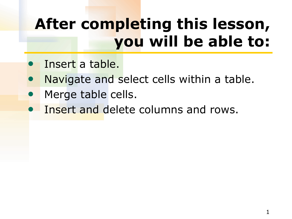## **After completing this lesson, you will be able to:**

- Insert a table.
- Navigate and select cells within a table.
- Merge table cells.
- Insert and delete columns and rows.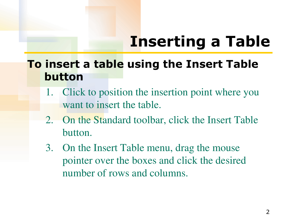### **To insert a table using the Insert Table button**

- 1. Click to position the insertion point where you want to insert the table.
- 2. On the Standard toolbar, click the Insert Table button.
- 3. On the Insert Table menu, drag the mouse pointer over the boxes and click the desired number of rows and columns.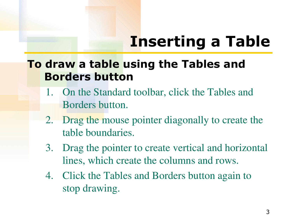### **To draw a table using the Tables and Borders button**

- 1. On the Standard toolbar, click the Tables and Borders button.
- 2. Drag the mouse pointer diagonally to create the table boundaries.
- 3. Drag the pointer to create vertical and horizontal lines, which create the columns and rows.
- 4. Click the Tables and Borders button again to stop drawing.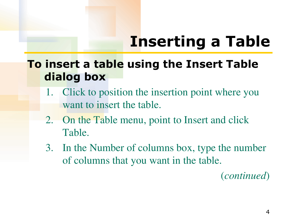**To insert a table using the Insert Table dialog box** 

- 1. Click to position the insertion point where you want to insert the table.
- 2. On the Table menu, point to Insert and click Table.
- 3. In the Number of columns box, type the number of columns that you want in the table.

(*continued*)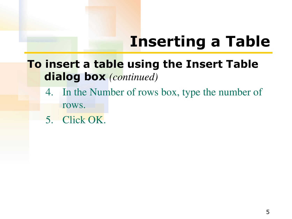### **To insert a table using the Insert Table dialog box** *(continued)*

- 4. In the Number of rows box, type the number of rows.
- 5. Click OK.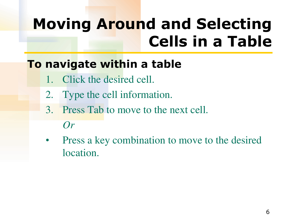## **Moving Around and Selecting Cells in a Table**

### **To navigate within a table**

- 1. Click the desired cell.
- 2. Type the cell information.
- 3. Press Tab to move to the next cell.

#### *Or*

• Press a key combination to move to the desired location.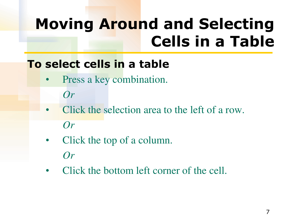## **Moving Around and Selecting Cells in a Table**

### **To select cells in a table**

Press a key combination.

*Or*

- Click the selection area to the left of a row. *Or*
- Click the top of a column. *Or*
- Click the bottom left corner of the cell.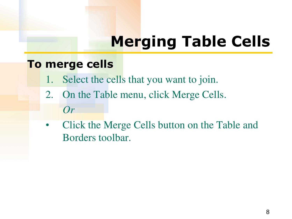# **Merging Table Cells**

### **To merge cells**

- 1. Select the cells that you want to join.
- 2. On the Table menu, click Merge Cells. *Or*
- Click the Merge Cells button on the Table and Borders toolbar.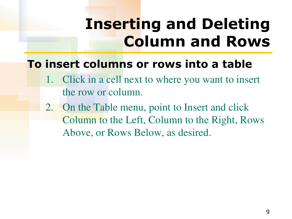## **Inserting and Deleting Column and Rows**

### **To insert columns or rows into a table**

- Click in a cell next to where you want to insert the row or column.
- 2. On the Table menu, point to Insert and click Column to the Left, Column to the Right, Rows Above, or Rows Below, as desired.